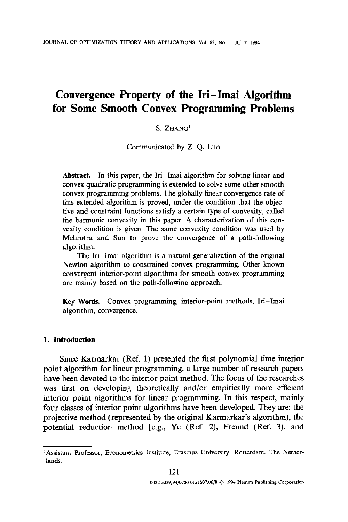# **Convergence Property of the Iri-Imai Algorithm for Some Smooth Convex Programming Problems**

## S. ZHANG<sup>1</sup>

Communicated by Z. Q. Luo

Abstract. In this paper, the Iri-Imai algorithm for solving linear and convex quadratic programming is extended to solve some other smooth convex programming problems. The globally linear convergence rate of this extended algorithm is proved, under the condition that the objective and constraint functions satisfy a certain type of convexity, called the harmonic convexity in this paper. A characterization of this convexity condition is given. The same convexity condition was used by Mehrotra and Sun to prove the convergence of a path-following algorithm.

The Iri-Imai algorithm is a natural generalization of the original Newton algorithm to constrained convex programming. Other known convergent interior-point algorithms for smooth convex programming are mainly based on the path-following approach.

Key Words. Convex programming, interior-point methods, Iri-Imai algorithm, convergence.

### **1. Introduction**

Since Karmarkar (Ref. 1) presented the first polynomial time interior point algorithm for linear programming, a large number of research papers have been devoted to the interior point method. The focus of the researches was first on developing theoretically and/or empirically more efficient interior point algorithms for linear programming. In this respect, mainly four classes of interior point algorithms have been developed. They are: the projective method (represented by the original Karmarkar's algorithm), the potential reduction method [e.g., Ye (Ref. 2), Freund (Ref. 3), and

<sup>1</sup>Assistant Professor, Econometrics Institute, Erasmus University, Rotterdam, The Netherlands.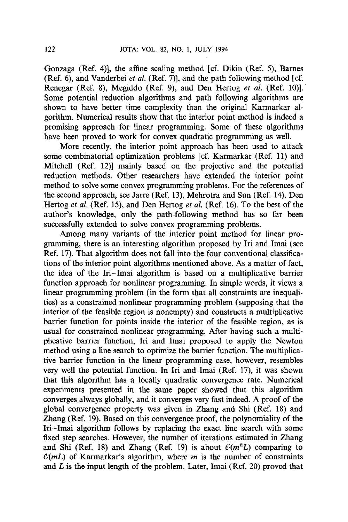Gonzaga (Ref. 4)], the affine scaling method [cf. Dikin (Ref. 5), Barnes (Ref. 6), and Vanderbei *et al.* (Ref. 7)], and the path following method [cf. Renegar (Ref. 8), Megiddo (Ref. 9), and Den Hertog *et al.* (Ref. 10)]. Some potential reduction algorithms and path following algorithms are shown to have better time complexity than the original Karmarkar algorithm. Numerical results show that the interior point method is indeed a promising approach for linear programming. Some of these algorithms have been proved to work for convex quadratic programming as well.

More recently, the interior point approach has been used to attack some combinatorial optimization problems [cf. Karmarkar (Ref. 11) and Mitchell (Ref. 12)] mainly based on the projective and the potential reduction methods. Other researchers have extended the interior point method to solve some convex programming problems. For the references of the second approach, see Jarre (Ref. 13), Mehrotra and Sun (Ref. 14), Den Hertog *et al.* (Ref. 15), and Den Hertog *et al.* (Ref. 16). To the best of the author's knowledge, only the path-following method has so far been successfully extended to solve convex programming problems.

Among many variants of the interior point method for linear programming, there is an interesting algorithm proposed by Iri and Imai (see Ref. 17). That algorithm does not fall into the four conventional classifications of the interior point algorithms mentioned above. As a matter of fact, the idea of the Iri-Imai algorithm is based on a multiplicative barrier function approach for nonlinear programming. In simple words, it views a linear programming problem (in the form that all constraints are inequalities) as a constrained nonlinear programming problem (supposing that the interior of the feasible region is nonempty) and constructs a multiplicative barrier function for points inside the interior of the feasible region, as is usual for constrained nonlinear programming. After having such a multiplicative barrier function, Iri and Imai proposed to apply the Newton method using a line search to optimize the barrier function. The multiplicative barrier function in the linear programming case, however, resembles very well the potential function. In Iri and Imai (Ref. 17), it was shown that this algorithm has a locally quadratic convergence rate. Numerical experiments presented in the same paper showed that this algorithm converges always globally, and it converges very fast indeed. A proof of the global convergence property was given in Zhang and Shi (Ref. 18) and Zhang (Ref. 19). Based on this convergence proof, the polynomiality of the Iri-Imai algorithm follows by replacing the exact line search with some fixed step searches. However, the number of iterations estimated in Zhang and Shi (Ref. 18) and Zhang (Ref. 19) is about  $\mathcal{O}(m^8L)$  comparing to  $\mathcal{O}(mL)$  of Karmarkar's algorithm, where m is the number of constraints and  $L$  is the input length of the problem. Later, Imai (Ref. 20) proved that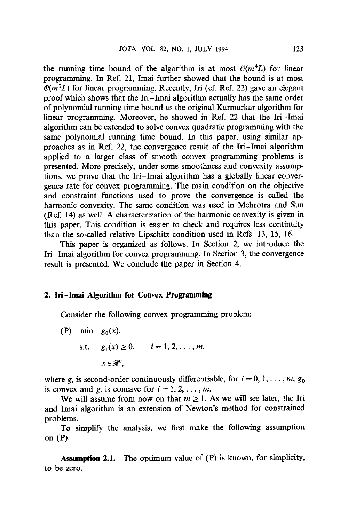the running time bound of the algorithm is at most  $\mathcal{O}(m^4L)$  for linear programming. In Ref. 21, Imai further showed that the bound is at most  $\mathcal{O}(m^2L)$  for linear programming. Recently, Iri (cf. Ref. 22) gave an elegant proof which shows that the Iri-Imai algorithm actually has the same order of polynomial running time bound as the original Karmarkar algorithm for linear programming. Moreover, he showed in Ref. 22 that the Iri-Imai algorithm can be extended to solve convex quadratic programming with the same polynomial running time bound. In this paper, using similar approaches as in Ref. 22, the convergence result of the Iri-Imai algorithm applied to a larger class of smooth convex programming problems is presented. More precisely, under some smoothness and convexity assumptions, we prove that the Iri-Imai algorithm has a globally linear convergence rate for convex programming. The main condition on the objective and constraint functions used to prove the convergence is called the harmonic convexity. The same condition was used in Mehrotra and Sun (Ref. 14) as well. A characterization of the harmonic convexity is given in this paper. This condition is easier to check and requires less continuity than the so-called relative Lipschitz condition used in Refs. 13, 15, 16.

This paper is organized as follows. In Section 2, we introduce the Iri-Imai algorithm for convex programming. In Section 3, the convergence result is presented. We conclude the paper in Section 4.

#### **2. lri-lmai Algorithm for Convex Programming**

Consider the following convex programming problem:

(P) min  $g_0(x)$ , s.t.  $g_i(x) \ge 0, \quad i = 1, 2, ..., m,$  $x \in \mathcal{R}^n$ .

where  $g_i$  is second-order continuously differentiable, for  $i = 0, 1, \ldots, m, g_0$ is convex and  $g_i$  is concave for  $i = 1, 2, \ldots, m$ .

We will assume from now on that  $m \geq 1$ . As we will see later, the Iri and Imai algorithm is an extension of Newton's method for constrained problems.

To simplify the analysis, we first make the following assumption on (P).

**Assumption** 2.1. The optimum value of (P) is known, for simplicity, to be zero.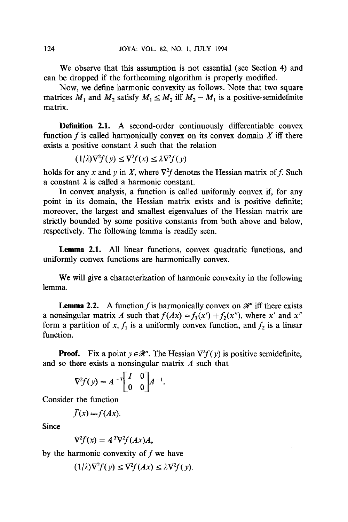We observe that this assumption is not essential (see Section 4) and can be dropped if the forthcoming algorithm is properly modified.

Now, we define harmonic convexity as follows. Note that two square matrices  $M_1$  and  $M_2$  satisfy  $M_1 \leq M_2$  iff  $M_2 - M_1$  is a positive-semidefinite matrix.

**Definition 2.1. A** second-order continuously differentiable convex function f is called harmonically convex on its convex domain  $X$  iff there exists a positive constant  $\lambda$  such that the relation

 $(1/\lambda)\nabla^2 f(v) \leq \nabla^2 f(x) \leq \lambda \nabla^2 f(v)$ 

holds for any x and y in X, where  $\nabla^2 f$  denotes the Hessian matrix of f. Such a constant  $\lambda$  is called a harmonic constant.

In convex analysis, a function is called uniformly convex if, for any point in its domain, the Hessian matrix exists and is positive definite; moreover, the largest and smallest eigenvalues of the Hessian matrix are strictly bounded by some positive constants from both above and below, respectively. The following lemma is readily seen.

Lemma 2.1. All linear functions, convex quadratic functions, and uniformly convex functions are harmonically convex.

We will give a characterization of harmonic convexity in the following lemma.

**Lemma 2.2.** A function f is harmonically convex on  $\mathcal{R}^n$  iff there exists a nonsingular matrix A such that  $f(Ax) = f_1(x') + f_2(x'')$ , where x' and x'' form a partition of x,  $f_1$  is a uniformly convex function, and  $f_2$  is a linear function.

**Proof.** Fix a point  $y \in \mathcal{R}^n$ . The Hessian  $\nabla^2 f(y)$  is positive semidefinite, and so there exists a nonsingular matrix A such that

$$
\nabla^2 f(y) = A^{-T} \begin{bmatrix} I & 0 \\ 0 & 0 \end{bmatrix} A^{-1}.
$$

Consider the function

$$
\bar{f}(x) := f(Ax).
$$

Since

$$
\nabla^2 \bar{f}(x) = A^T \nabla^2 f(Ax) A,
$$

by the harmonic convexity of  $f$  we have

$$
(1/\lambda)\nabla^2 f(y) \le \nabla^2 f(Ax) \le \lambda \nabla^2 f(y).
$$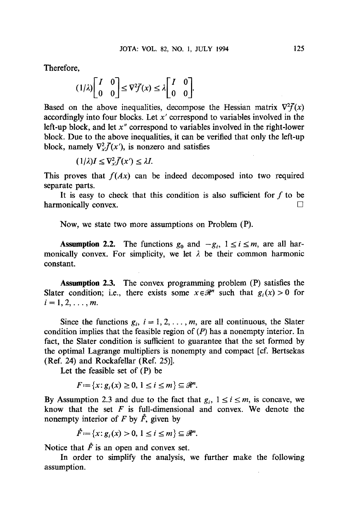Therefore,

$$
(1/\lambda)\begin{bmatrix} I & 0 \\ 0 & 0 \end{bmatrix} \leq \nabla^2 \overline{f}(x) \leq \lambda \begin{bmatrix} I & 0 \\ 0 & 0 \end{bmatrix}.
$$

Based on the above inequalities, decompose the Hessian matrix  $\nabla^2 f(x)$ accordingly into four blocks. Let  $x'$  correspond to variables involved in the left-up block, and let *x"* correspond to variables involved in the right-lower block. Due to the above inequalities, it can be verified that only the left-up block, namely  $\nabla_x^2 \overline{f}(x')$ , is nonzero and satisfies

$$
(1/\lambda)I\leq \nabla_x^2 \bar{f}(x')\leq \lambda I.
$$

This proves that  $f(Ax)$  can be indeed decomposed into two required separate parts.

It is easy to check that this condition is also sufficient for  $f$  to be harmonically convex.  $\Box$ 

Now, we state two more assumptions on Problem (P).

**Assumption 2.2.** The functions  $g_0$  and  $-g_i$ ,  $1 \le i \le m$ , are all harmonically convex. For simplicity, we let  $\lambda$  be their common harmonic constant.

Assumption 2.3. The convex programming problem (P) satisfies the Slater condition; i.e., there exists some  $x \in \mathcal{R}^n$  such that  $g_i(x) > 0$  for  $i=1,2,\ldots, m$ .

Since the functions  $g_i$ ,  $i = 1, 2, \ldots, m$ , are all continuous, the Slater condition implies that the feasible region of  $(P)$  has a nonempty interior. In fact, the Slater condition is sufficient to guarantee that the set formed by the optimal Lagrange multipliers is nonempty and compact [cf. Bertsekas (Ref, 24) and Rockafellar (Ref. 25)].

Let the feasible set of (P) be

$$
F:=\{x\colon g_i(x)\geq 0,\ 1\leq i\leq m\}\subseteq\mathcal{R}^n.
$$

By Assumption 2.3 and due to the fact that  $g_i$ ,  $1 \le i \le m$ , is concave, we know that the set  $F$  is full-dimensional and convex. We denote the nonempty interior of F by  $\hat{F}$ , given by

$$
\mathring{F} := \{x \colon g_i(x) > 0, \ 1 \leq i \leq m\} \subseteq \mathcal{R}^n.
$$

Notice that  $\hat{F}$  is an open and convex set.

In order to simplify the analysis, we further make the following assumption.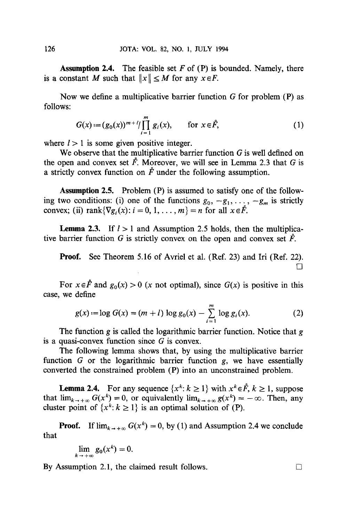**Assumption** 2.4. The feasible set F of (P) is bounded. Namely, there is a constant M such that  $||x|| \leq M$  for any  $x \in F$ .

Now we define a multiplicative barrier function  $G$  for problem  $(P)$  as follows:

$$
G(x) := (g_0(x))^{m+l} / \prod_{i=1}^{m} g_i(x), \qquad \text{for } x \in \mathring{F}, \tag{1}
$$

where  $l > 1$  is some given positive integer.

We observe that the multiplicative barrier function  $G$  is well defined on the open and convex set  $\mathring{F}$ . Moreover, we will see in Lemma 2.3 that G is a strictly convex function on  $\mathring{F}$  under the following assumption.

Assumption 2.5. Problem (P) is assumed to satisfy one of the following two conditions: (i) one of the functions  $g_0, -g_1, \ldots, -g_m$  is strictly convex; (ii)  $\text{rank}\{\nabla g_i(x): i = 0, 1, \ldots, m\} = n$  for all  $x \in \mathring{F}$ .

**Lemma 2.3.** If  $l > 1$  and Assumption 2.5 holds, then the multiplicative barrier function G is strictly convex on the open and convex set  $\mathring{F}$ .

Proof. See Theorem 5.16 of Avriel et al. (Ref. 23) and Iri (Ref. 22).  $\Box$ 

For  $x \in \mathring{F}$  and  $g_0(x) > 0$  (x not optimal), since  $G(x)$  is positive in this case, we define

$$
g(x) := \log G(x) = (m+l) \log g_0(x) - \sum_{i=1}^{m} \log g_i(x). \tag{2}
$$

The function g is called the logarithmic barrier function. Notice that g is a quasi-convex function since  $G$  is convex.

The following lemma shows that, by using the multiplicative barrier function  $G$  or the logarithmic barrier function  $g$ , we have essentially converted the constrained problem (P) into an unconstrained problem.

**Lemma 2.4.** For any sequence  $\{x^k: k \ge 1\}$  with  $x^k \in \mathring{F}, k \ge 1$ , suppose that  $\lim_{k \to +\infty} G(x^k) = 0$ , or equivalently  $\lim_{k \to +\infty} g(x^k) = -\infty$ . Then, any cluster point of  $\{x^k: k \ge 1\}$  is an optimal solution of (P).

**Proof.** If  $\lim_{k \to +\infty} G(x^k) = 0$ , by (1) and Assumption 2.4 we conclude that

$$
\lim_{k\to+\infty}g_0(x^k)=0.
$$

By Assumption 2.1, the claimed result follows.  $\Box$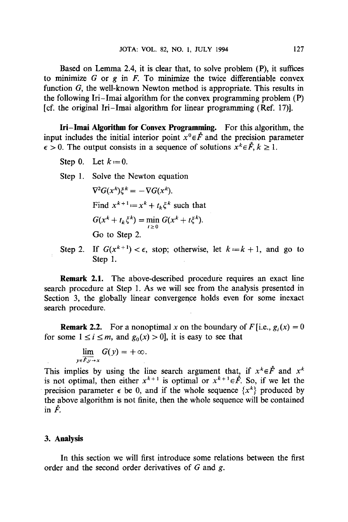Based on Lemma 2.4, it is clear that, to solve problem (P), it suffices to minimize  $G$  or  $g$  in  $F$ . To minimize the twice differentiable convex function G, the well-known Newton method is appropriate. This results in the following Iri-Imai algorithm for the convex programming problem (P) [cf. the original Iri-Imai algorithm for linear programming (Ref. 17)].

**lri-Imai Algorithm for Convex Programming.** For this algorithm, the input includes the initial interior point  $x^0 \in \mathring{F}$  and the precision parameter  $\epsilon > 0$ . The output consists in a sequence of solutions  $x^k \in \mathring{F}, k \geq 1$ .

- Step 0. Let  $k := 0$ .
- Step 1. Solve the Newton equation

 $\nabla^2 G(x^k) \xi^k = - \nabla G(x^k).$ Find  $x^{k+1} = x^k + t_k \zeta^k$  such that  $G(x^k + t_k \xi^k) = \min_{t \geq 0} G(x^k + t \xi)$ Go to Step 2.

Step 2. If  $G(x^{k+1}) < \epsilon$ , stop; otherwise, let  $k := k + 1$ , and go to Step 1.

**Remark** 2.1. The above-described procedure requires an exact line search procedure at Step 1. As we will see from the analysis presented in Section 3, the globally linear convergence holds even for some inexact seareh procedure.

**Remark 2.2.** For a nonoptimal x on the boundary of  $F[i,e, g_i(x)] = 0$ for some  $1 \le i \le m$ , and  $g_0(x) > 0$ , it is easy to see that

$$
\lim_{y\in F, y\to x} G(y) = +\infty.
$$

This implies by using the line search argument that, if  $x^k \in \mathring{F}$  and  $x^k$ is not optimal, then either  $x^{k+1}$  is optimal or  $x^{k+1} \in \mathring{P}$ . So, if we let the precision parameter  $\epsilon$  be 0, and if the whole sequence  $\{x^k\}$  produced by the above algorithm is not finite, then the whole sequence will be contained in  $\ddot{F}$ .

### **3. Analysis**

In this section we will first introduce some relations between the first order and the second order derivatives of  $G$  and  $g$ .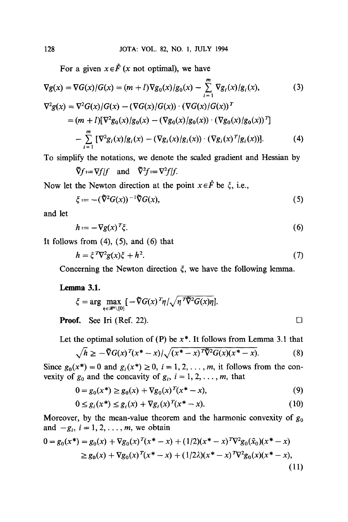For a given  $x \in \mathring{F}$  (x not optimal), we have

$$
\nabla g(x) = \nabla G(x)/G(x) = (m+l)\nabla g_0(x)/g_0(x) - \sum_{i=1}^{m} \nabla g_i(x)/g_i(x),
$$
 (3)

$$
\nabla^2 g(x) = \nabla^2 G(x) / G(x) - (\nabla G(x) / G(x)) \cdot (\nabla G(x) / G(x))^{T}
$$
  
=  $(m + 1)[\nabla^2 g_0(x) / g_0(x) - (\nabla g_0(x) / g_0(x)) \cdot (\nabla g_0(x) / g_0(x))^{T}]$   

$$
- \sum_{i=1}^{m} [\nabla^2 g_i(x) / g_i(x) - (\nabla g_i(x) / g_i(x)) \cdot (\nabla g_i(x) {T} / g_i(x))].
$$
 (4)

To simplify the notations, we denote the scaled gradient and Hessian by

$$
\tilde{\nabla}f := \nabla f/f
$$
 and  $\tilde{\nabla}^2 f := \nabla^2 f/f$ .

Now let the Newton direction at the point  $x \in \mathring{F}$  be  $\xi$ , i.e.,

$$
\xi := -(\tilde{\nabla}^2 G(x))^{-1} \tilde{\nabla} G(x),\tag{5}
$$

and let

$$
h = -\nabla g(x)^T \zeta. \tag{6}
$$

It follows from  $(4)$ ,  $(5)$ , and  $(6)$  that

$$
h = \xi^T \nabla^2 g(x) \xi + h^2. \tag{7}
$$

Concerning the Newton direction  $\xi$ , we have the following lemma.

## **Lemma 3.1.**

$$
\xi = \arg \max_{\eta \in \mathcal{R}^n \setminus \{0\}} \left[ -\tilde{\nabla} G(x)^T \eta / \sqrt{\eta^T \tilde{\nabla}^2 G(x) \eta} \right].
$$
  
**Proof.** See Iri (Ref. 22).

Let the optimal solution of (P) be  $x^*$ . It follows from Lemma 3.1 that

$$
\sqrt{h} \ge -\tilde{\nabla}G(x)^{T}(x^{*}-x)/\sqrt{(x^{*}-x)^{T}\tilde{\nabla}^{2}G(x)(x^{*}-x)}.
$$
 (8)

Since  $g_0(x^*) = 0$  and  $g_i(x^*) \ge 0$ ,  $i = 1, 2, \ldots, m$ , it follows from the convexity of  $g_0$  and the concavity of  $g_i$ ,  $i = 1, 2, \ldots, m$ , that

$$
0 = g_0(x^*) \ge g_0(x) + \nabla g_0(x)^T (x^* - x), \tag{9}
$$

$$
0 \le g_i(x^*) \le g_i(x) + \nabla g_i(x)^T (x^* - x). \tag{10}
$$

Moreover, by the mean-value theorem and the harmonic convexity of  $g_0$ and  $-g_i$ ,  $i = 1, 2, \ldots, m$ , we obtain

$$
0 = g_0(x^*) = g_0(x) + \nabla g_0(x)^T (x^* - x) + (1/2)(x^* - x)^T \nabla^2 g_0(\tilde{x}_0)(x^* - x)
$$
  
\n
$$
\ge g_0(x) + \nabla g_0(x)^T (x^* - x) + (1/2\lambda)(x^* - x)^T \nabla^2 g_0(x)(x^* - x),
$$
\n(11)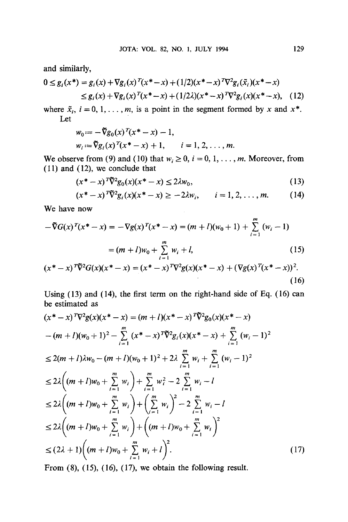and similarly,

$$
0 \le g_i(x^*) = g_i(x) + \nabla g_i(x)^T (x^* - x) + (1/2)(x^* - x)^T \nabla^2 g_i(\tilde{x}_i)(x^* - x)
$$
  
 
$$
\le g_i(x) + \nabla g_i(x)^T (x^* - x) + (1/2\lambda)(x^* - x)^T \nabla^2 g_i(x)(x^* - x), \quad (12)
$$

where  $\tilde{x}_i$ ,  $i = 0, 1, \ldots, m$ , is a point in the segment formed by x and  $x^*$ . Let

$$
w_0 := -\tilde{\nabla}g_0(x)^T(x^* - x) - 1,
$$
  
\n
$$
w_i := \tilde{\nabla}g_i(x)^T(x^* - x) + 1, \qquad i = 1, 2, ..., m.
$$

We observe from (9) and (10) that  $w_i \ge 0$ ,  $i = 0, 1, \ldots, m$ . Moreover, from (11) and (12), we conclude that

$$
(x^* - x)^T \widetilde{\nabla}^2 g_0(x) (x^* - x) \le 2\lambda w_0,
$$
\n(13)

$$
(x^* - x)^{T} \tilde{\nabla}^2 g_i(x) (x^* - x) \ge -2\lambda w_i, \qquad i = 1, 2, ..., m. \tag{14}
$$

We have now

$$
-\nabla G(x)^{T}(x^{*}-x) = -\nabla g(x)^{T}(x^{*}-x) = (m+l)(w_{0}+1) + \sum_{i=1}^{m} (w_{i}-1)
$$

$$
= (m+l)w_{0} + \sum_{i=1}^{m} w_{i} + l,
$$
(15)  

$$
(x^{*}-x)^{T}\nabla^{2}G(x)(x^{*}-x) - (x^{*}-x)^{T}\nabla^{2}g(x)(x^{*}-x) + (\nabla g(x)^{T}(x^{*}-x))^{2}
$$

$$
(x^* - x)^{T} \overline{\nabla}^2 G(x) (x^* - x) = (x^* - x)^{T} \nabla^2 g(x) (x^* - x) + (\nabla g(x)^{T} (x^* - x))^2.
$$
\n(16)

Using (13) and (14), the first term on the right-hand side of Eq. (16) can be estimated as

$$
(x^* - x)^T \nabla^2 g(x) (x^* - x) = (m + l)(x^* - x)^T \tilde{\nabla}^2 g_0(x) (x^* - x)
$$
  
\n
$$
-(m + l)(w_0 + 1)^2 - \sum_{i=1}^m (x^* - x)^T \tilde{\nabla}^2 g_i(x) (x^* - x) + \sum_{i=1}^m (w_i - 1)^2
$$
  
\n
$$
\leq 2(m + l)\lambda w_0 - (m + l)(w_0 + 1)^2 + 2\lambda \sum_{i=1}^m w_i + \sum_{i=1}^m (w_i - 1)^2
$$
  
\n
$$
\leq 2\lambda \Big( (m + l)w_0 + \sum_{i=1}^m w_i \Big) + \sum_{i=1}^m w_i^2 - 2 \sum_{i=1}^m w_i - l
$$
  
\n
$$
\leq 2\lambda \Big( (m + l)w_0 + \sum_{i=1}^m w_i \Big) + \Big( \sum_{i=1}^m w_i \Big)^2 - 2 \sum_{i=1}^m w_i - l
$$
  
\n
$$
\leq 2\lambda \Big( (m + l)w_0 + \sum_{i=1}^m w_i \Big) + \Big( (m + l)w_0 + \sum_{i=1}^m w_i \Big)^2
$$
  
\n
$$
\leq (2\lambda + 1) \Big( (m + l)w_0 + \sum_{i=1}^m w_i + l \Big)^2.
$$
 (17)

From  $(8)$ ,  $(15)$ ,  $(16)$ ,  $(17)$ , we obtain the following result.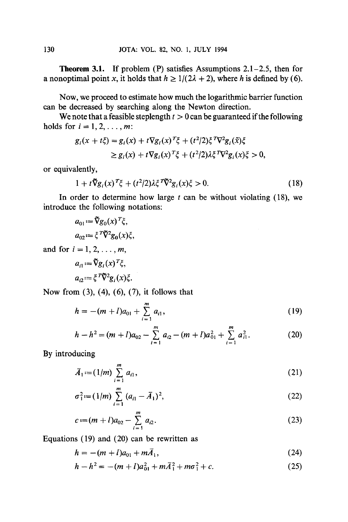**Theorem 3.1.** If problem  $(P)$  satisfies Assumptions 2.1–2.5, then for a nonoptimal point x, it holds that  $h \ge 1/(2\lambda + 2)$ , where h is defined by (6).

Now, we proceed to estimate how much the logarithmic barrier function can be decreased by searching along the Newton direction.

We note that a feasible steplength  $t > 0$  can be guaranteed if the following holds for  $i = 1, 2, \ldots, m$ :

$$
g_i(x + t\xi) = g_i(x) + t\nabla g_i(x)^T \xi + (t^2/2)\xi^T \nabla^2 g_i(\tilde{x})\xi
$$
  
\n
$$
\geq g_i(x) + t\nabla g_i(x)^T \xi + (t^2/2)\lambda\xi^T \nabla^2 g_i(x)\xi > 0,
$$

or equivalently,

$$
1 + t\tilde{\nabla}g_i(x)^T\xi + (t^2/2)\lambda\xi^T\tilde{\nabla}^2g_i(x)\xi > 0.
$$
 (18)

In order to determine how large  $t$  can be without violating (18), we introduce the following notations:

$$
a_{01} := \tilde{\nabla}g_0(x)^T \xi,
$$
  

$$
a_{02} := \xi^T \tilde{\nabla}^2 g_0(x) \xi,
$$

and for  $i = 1, 2, \ldots, m$ ,

$$
a_{i1} := \tilde{\nabla}g_i(x)^T \xi,
$$
  

$$
a_{i2} := \xi^T \tilde{\nabla}^2 g_i(x) \xi.
$$

Now from (3), (4), (6), (7), it follows that

$$
h = -(m+l)a_{01} + \sum_{i=1}^{m} a_{i1},
$$
\n(19)

$$
h-h^2=(m+l)a_{02}-\sum_{i=1}^m a_{i2}-(m+l)a_{01}^2+\sum_{i=1}^m a_{i1}^2.
$$
 (20)

By introducing

$$
\bar{A}_1 := (1/m) \sum_{i=1}^m a_{i1}, \qquad (21)
$$

$$
\sigma_1^2 := (1/m) \sum_{i=1}^m (a_{i1} - \bar{A}_1)^2, \tag{22}
$$

$$
c := (m+l)a_{02} - \sum_{i=1}^{m} a_{i2}.
$$
 (23)

Equations (19) and (20) can be rewritten as

$$
h = -(m+l)a_{01} + m\bar{A}_1, \tag{24}
$$

$$
h - h2 = -(m + l)a012 + m\bar{A}12 + m\sigma12 + c.
$$
 (25)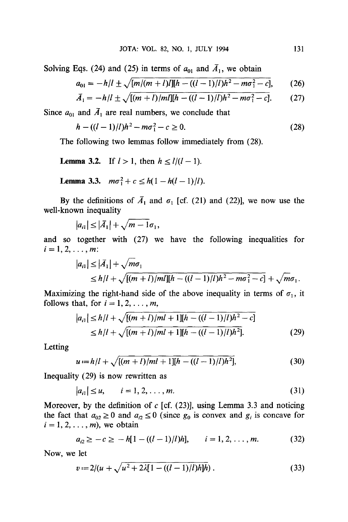Solving Eqs. (24) and (25) in terms of  $a_{01}$  and  $\bar{A}_1$ , we obtain

$$
a_{01} = -h/l \pm \sqrt{[m/(m+l)l][h - ((l-1)/l)h^2 - m\sigma_1^2 - c]},
$$
 (26)

$$
\bar{A}_1 = -h/l \pm \sqrt{[(m+l)/m l][h - ((l-1)/l)h^2 - m\sigma_1^2 - c]}.
$$
 (27)

Since  $a_{01}$  and  $\bar{A}_1$  are real numbers, we conclude that

$$
h - ((l - 1)/l)h^2 - m\sigma_1^2 - c \ge 0.
$$
 (28)

The following two lemmas follow immediately from (28).

**Lemma 3.2.** If  $l > 1$ , then  $h \le l/(l-1)$ .

**Lemma 3.3.** 
$$
m\sigma_1^2 + c \leq h(1 - h(l-1)/l)
$$
.

By the definitions of  $\bar{A}_1$  and  $\sigma_1$  [cf. (21) and (22)], we now use the well-known inequality

$$
|a_{i1}|\leq |\bar{A}_1|+\sqrt{m-1}\sigma_1,
$$

and so together with (27) we have the following inequalities for  $i=1,2,\ldots, m$ :

$$
|a_{i1}| \leq |\bar{A}_1| + \sqrt{m\sigma_1} \leq h/l + \sqrt{[(m+l)/m] [h - ((l-1)/l)h^2 - m\sigma_1^2 - c]} + \sqrt{m\sigma_1}.
$$

Maximizing the right-hand side of the above inequality in terms of  $\sigma_1$ , it follows that, for  $i = 1, 2, \ldots, m$ ,

$$
|a_{i1}| \le h/l + \sqrt{[(m+l)/ml+1][h-((l-1)/l)h^2-c]}
$$
  
\n
$$
\le h/l + \sqrt{[(m+l)/ml+1][h-((l-1)/l)h^2]}.
$$
\n(29)

Letting

$$
u := h/l + \sqrt{[(m+l)/ml + 1][h - ((l-1)/l)h^2]},
$$
\n(30)

Inequality (29) is now rewritten as

$$
|a_{i1}| \le u, \qquad i = 1, 2, \dots, m. \tag{31}
$$

Moreover, by the definition of  $c$  [cf. (23)], using Lemma 3.3 and noticing the fact that  $a_{02} \ge 0$  and  $a_{i2} \le 0$  (since  $g_0$  is convex and  $g_i$  is concave for  $i = 1, 2, \ldots, m$ , we obtain

$$
a_{i2} \geq -c \geq -h[1-((l-1)/l)h], \qquad i=1,2,\ldots,m. \tag{32}
$$

Now, we let

$$
v := 2/(u + \sqrt{u^2 + 2\lambda[1 - ((l-1)/l)h]\hbar}).
$$
\n(33)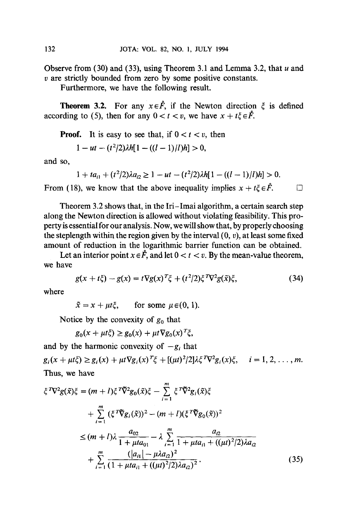Observe from  $(30)$  and  $(33)$ , using Theorem 3.1 and Lemma 3.2, that u and  $v$  are strictly bounded from zero by some positive constants.

Furthermore, we have the following result.

**Theorem 3.2.** For any  $x \in \mathring{F}$ , if the Newton direction  $\xi$  is defined according to (5), then for any  $0 < t < v$ , we have  $x + t \in \mathring{F}$ .

**Proof.** It is easy to see that, if  $0 < t < v$ , then

 $1-ut - (t^2/2)\lambda h[1 - ((l - 1)/l)h] > 0$ ,

and so,

$$
1 + ta_{i1} + (t^2/2)\lambda a_{i2} \ge 1 - ut - (t^2/2)\lambda h[1 - ((l-1)/l)h] > 0.
$$

From (18), we know that the above inequality implies  $x + t\zeta \in \mathring{F}$ .  $\Box$ 

Theorem 3.2 shows that, in the Iri-Imai algorithm, a certain search step along the Newton direction is allowed without violating feasibility. This property is essential for our analysis. Now, we will show that, by properly choosing the steplength within the region given by the interval  $(0, v)$ , at least some fixed amount of reduction in the logarithmic barrier function can be obtained.

Let an interior point  $x \in \mathring{F}$ , and let  $0 < t < v$ . By the mean-value theorem, we have

$$
g(x + t\xi) - g(x) = t\nabla g(x)^T \xi + (t^2/2)\xi^T \nabla^2 g(\tilde{x})\xi,
$$
 (34)

where

 $\tilde{x} = x + \mu t \xi$ , for some  $\mu \in (0, 1)$ .

Notice by the convexity of  $g_0$  that

$$
g_0(x + \mu t \xi) \ge g_0(x) + \mu t \nabla g_0(x)^T \xi,
$$

and by the harmonic convexity of  $-g_i$  that  $g_i(x + \mu t \xi) \ge g_i(x) + \mu t \nabla g_i(x)^T \xi + [(\mu t)^2/2] \lambda \xi^T \nabla^2 g_i(x) \xi, \quad i = 1, 2, ..., m.$ Thus, we have

$$
\xi^T \nabla^2 g(\tilde{x}) \xi = (m+l) \xi^T \tilde{\nabla}^2 g_0(\tilde{x}) \xi - \sum_{i=1}^m \xi^T \tilde{\nabla}^2 g_i(\tilde{x}) \xi \n+ \sum_{i=1}^m (\xi^T \tilde{\nabla} g_i(\tilde{x}))^2 - (m+l) (\xi^T \tilde{\nabla} g_0(\tilde{x}))^2 \n\leq (m+l) \lambda \frac{a_{02}}{1 + \mu t a_{01}} - \lambda \sum_{i=1}^m \frac{a_{i2}}{1 + \mu t a_{i1} + ((\mu t)^2/2) \lambda a_{i2}} \n+ \sum_{i=1}^m \frac{(|a_{i1}| - \mu \lambda a_{i2})^2}{(1 + \mu t a_{i1} + ((\mu t)^2/2) \lambda a_{i2})^2}.
$$
\n(35)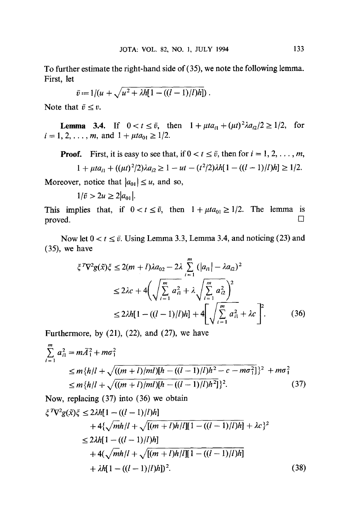To further estimate the right-hand side of (35), we note the following lemma. First, let

$$
\bar{v} := 1/(u + \sqrt{u^2 + \lambda h[1 - ((l-1)/l)h]})
$$

Note that  $\bar{v} \leq v$ .

**Lemma 3.4.** If  $0 < t \leq \bar{v}$ , then  $1 + \mu t a_{i1} + (\mu t)^2 \lambda a_{i2}/2 \geq 1/2$ , for  $i = 1, 2, \ldots, m$ , and  $1 + \mu t a_{01} \geq 1/2$ .

**Proof.** First, it is easy to see that, if  $0 < t \leq \overline{v}$ , then for  $i = 1, 2, ..., m$ ,  $1 + uta_n + ((ut)^2/2)\lambda a_n \ge 1 - ut - (t^2/2)\lambda h[1 - ((l - 1)/l)h] \ge 1/2.$ 

$$
y = \frac{1}{2} \int_{0}^{2\pi} \frac{1}{2} \left( \frac{1}{2} \left( \frac{1}{2} \right)^2 - \frac{1}{2} \left( \frac{1}{2} \right)^2 \right) \, dx
$$

Moreover, notice that  $|a_{01}| \le u$ , and so,

 $1/\bar{v} > 2u \geq 2|a_{01}|.$ 

This implies that, if  $0 < t \le \bar{v}$ , then  $1 + \mu t a_{01} \ge 1/2$ . The lemma is  $\Box$ 

Now let  $0 < t \leq \bar{v}$ . Using Lemma 3.3, Lemma 3.4, and noticing (23) and (35), we have

$$
\xi^T \nabla^2 g(\tilde{x}) \xi \le 2(m+l)\lambda a_{02} - 2\lambda \sum_{i=1}^m (|a_{i1}| - \lambda a_{i2})^2
$$
  

$$
\le 2\lambda c + 4\left(\sqrt{\sum_{i=1}^m a_{i1}^2} + \lambda \sqrt{\sum_{i=1}^m a_{i2}^2}\right)^2
$$
  

$$
\le 2\lambda h[1 - ((l-1)/l)h] + 4\left[\sqrt{\sum_{i=1}^m a_{i1}^2} + \lambda c\right]^2.
$$
 (36)

Furthermore, by  $(21)$ ,  $(22)$ , and  $(27)$ , we have

$$
\sum_{i=1}^{m} a_{i1}^{2} = m\overline{A}_{1}^{2} + m\sigma_{1}^{2}
$$
\n
$$
\leq m\{h/l + \sqrt{((m+l)/m!) [h - ((l-1)/l)h^{2} - c - m\sigma_{1}^{2}]} \}^{2} + m\sigma_{1}^{2}
$$
\n
$$
\leq m\{h/l + \sqrt{((m+l)/m!) [h - ((l-1)/l)h^{2}]} \}^{2}.
$$
\n(37)

Now, replacing (37) into (36) we obtain

$$
\xi^T \nabla^2 g(\tilde{x}) \xi \le 2\lambda h [1 - ((l-1)/l)h]
$$
  
+4\{\sqrt{mh/l} + \sqrt{[(m+l)h/l][1 - ((l-1)/l)h]} + \lambda c \}^2  

$$
\le 2\lambda h [1 - ((l-1)/l)h]
$$
  
+4(\sqrt{mh/l} + \sqrt{[(m+l)h/l][1 - ((l-1)/l)h]} + \lambda h [1 - ((l-1)/l)h])^2. (38)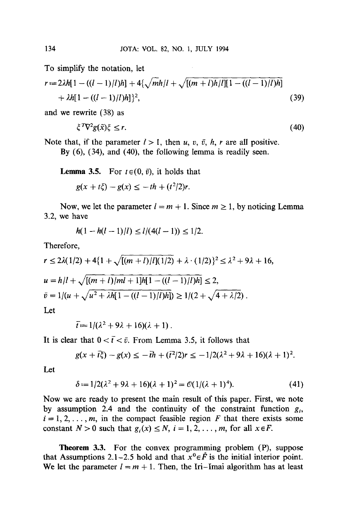To simplify the notation, let

$$
r := 2\lambda h[1 - ((l - 1)/l)h] + 4\{\sqrt{mh/l} + \sqrt{[(m + l)h/l][1 - ((l - 1)/l)h]}\}+ \lambda h[1 - ((l - 1)/l)h] \}2,
$$
(39)

and we rewrite (38) as

$$
\zeta^T \nabla^2 g(\tilde{x}) \zeta \le r. \tag{40}
$$

Note that, if the parameter  $l > 1$ , then u, v,  $\bar{v}$ , h, r are all positive. By  $(6)$ ,  $(34)$ , and  $(40)$ , the following lemma is readily seen.

**Lemma 3.5.** For  $t \in (0, \bar{v})$ , it holds that

 $g(x + t\zeta) - g(x) < -th + (t^2/2)r$ .

Now, we let the parameter  $l = m + 1$ . Since  $m \ge 1$ , by noticing Lemma 3.2, we have

$$
h(1 - h(l - 1)/l) \le l/(4(l - 1)) \le 1/2.
$$

Therefore,

$$
r \le 2\lambda(1/2) + 4\{1 + \sqrt{[(m+l)/l](1/2)} + \lambda \cdot (1/2)\}^2 \le \lambda^2 + 9\lambda + 16,
$$
  
\n
$$
u = h/l + \sqrt{[(m+l)/ml + 1]h[1 - ((l-1)/l)h]} \le 2,
$$
  
\n
$$
\bar{v} = 1/(u + \sqrt{u^2 + \lambda h[1 - ((l-1)/l)h]}) \ge 1/(2 + \sqrt{4 + \lambda/2}).
$$
  
\nLet

 $\bar{t} = 1/(\lambda^2 + 9\lambda + 16)(\lambda + 1)$ .

It is clear that  $0 < \bar{t} < \bar{v}$ . From Lemma 3.5, it follows that

$$
g(x+\bar{t}\xi)-g(x) \leq -\bar{t}h + (\bar{t}^2/2)r \leq -1/2(\lambda^2+9\lambda+16)(\lambda+1)^2.
$$

Let

$$
\delta := 1/2(\lambda^2 + 9\lambda + 16)(\lambda + 1)^2 = \mathcal{O}(1/(\lambda + 1)^4). \tag{41}
$$

Now we are ready to present the main result of this paper. First, we note by assumption 2.4 and the continuity of the constraint function  $g_i$ ,  $i = 1, 2, \ldots, m$ , in the compact feasible region F that there exists some constant  $N > 0$  such that  $g_i(x) \le N$ ,  $i = 1, 2, \ldots, m$ , for all  $x \in F$ .

Theorem 3.3. For the convex programming problem (P), suppose that Assumptions 2.1-2.5 hold and that  $x^0 \in \mathring{F}$  is the initial interior point. We let the parameter  $l = m + 1$ . Then, the Iri-Imai algorithm has at least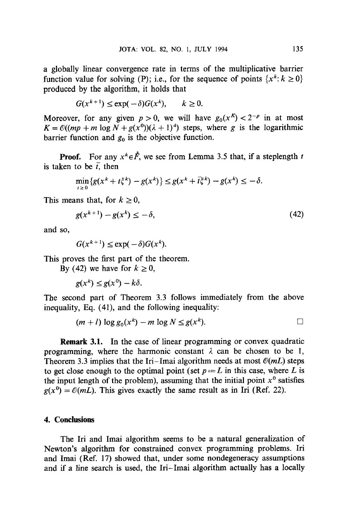a globally linear convergence rate in terms of the multiplicative barrier function value for solving (P); i.e., for the sequence of points  $\{x^k : k \ge 0\}$ produced by the algorithm, it holds that

$$
G(x^{k+1}) \le \exp(-\delta)G(x^k), \qquad k \ge 0.
$$

Moreover, for any given  $p > 0$ , we will have  $g_0(x^K) < 2^{-p}$  in at most  $K = \mathcal{O}((mp + m \log N + g(x^0))(\lambda + 1)^4)$  steps, where g is the logarithmic barrier function and  $g_0$  is the objective function.

**Proof.** For any  $x^k \in \mathring{F}$ , we see from Lemma 3.5 that, if a steplength t is taken to be  $\bar{t}$ , then

$$
\min_{t\geq 0} \{g(x^k+t\zeta^k)-g(x^k)\}\leq g(x^k+\bar{t}\zeta^k)-g(x^k)\leq -\delta.
$$

This means that, for  $k \geq 0$ ,

$$
g(x^{k+1}) - g(x^k) \le -\delta,\tag{42}
$$

and so,

$$
G(x^{k+1}) \le \exp(-\delta)G(x^k).
$$

This proves the first part of the theorem.

By (42) we have for  $k \ge 0$ ,

 $g(x^k) \leq g(x^0) - k\delta.$ 

The second part of Theorem 3.3 follows immediately from the above inequality, Eq. (41), and the following inequality:

$$
(m+l)\log g_0(x^k)-m\log N\leq g(x^k). \qquad \qquad \Box
$$

Remark 3.1. In the case of linear programming or convex quadratic programming, where the harmonic constant  $\lambda$  can be chosen to be 1, Theorem 3.3 implies that the Iri-Imai algorithm needs at most  $\mathcal{O}(mL)$  steps to get close enough to the optimal point (set  $p = L$  in this case, where L is the input length of the problem), assuming that the initial point  $x^0$  satisfies  $g(x^0) = \mathcal{O}(mL)$ . This gives exactly the same result as in Iri (Ref. 22).

## **4. Conclusions**

The Iri and Imai algorithm seems to be a natural generalization of Newton's algorithm for constrained convex programming problems. Iri and Imai (Ref. 17) showed that, under some nondegeneracy assumptions and if a line search is used, the Iri-Imai algorithm actually has a locally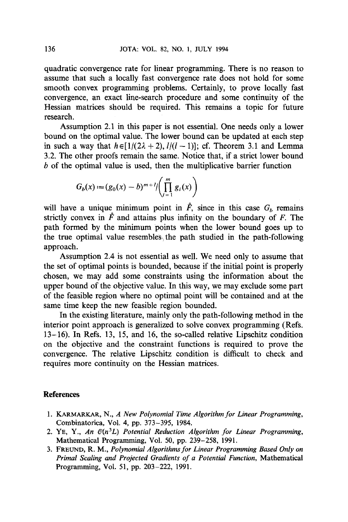quadratic convergence rate for linear programming. There is no reason to assume that such a locally fast convergence rate does not hold for some smooth convex programming problems. Certainly, to prove locally fast convergence, an exact line-search procedure and some continuity of the Hessian matrices should be required. This remains a topic for future research.

Assumption 2.1 in this paper is not essential. One needs only a lower bound on the optimal value. The lower bound can be updated at each step in such a way that  $h \in [1/(2\lambda + 2), l/(l-1)]$ ; cf. Theorem 3.1 and Lemma 3.2. The other proofs remain the same. Notice that, if a strict lower bound b of the optimal value is used, then the multiplicative barrier function

$$
G_b(x) := (g_0(x) - b)^{m+1} / \left( \prod_{i=1}^m g_i(x) \right)
$$

will have a unique minimum point in  $\hat{F}$ , since in this case  $G_b$  remains strictly convex in  $\mathring{F}$  and attains plus infinity on the boundary of F. The path formed by the minimum points when the lower bound goes up to the true optimal value resembleS~ the path studied in the path-following approach.

Assumption 2.4 is not essential as well. We need only to assume that the set of optimal points is bounded, because if the initial point is properly chosen, we may add some constraints using the information about the upper bound of the objective value. In this way, we may exclude some part of the feasible region where no optimal point will be contained and at the same time keep the new feasible region bounded.

In the existing literature, mainly only the path-following method in the interior point approach is generalized to solve convex programming (Refs. 13-16). In Refs. 13, 15, and 16, the so-called relative Lipschitz condition on the objective and the constraint functions is required to prove the convergence. The relative Lipschitz condition is difficult to check and requires more continuity on the Hessian matrices.

## **References**

- 1. KARMARKAR, N., *A New Polynomial Time Algorithm for Linear Programming*, Combinatorica, Vol. 4, pp. 373-395, 1984.
- 2. YE, Y., An  $O(n^3L)$  Potential Reduction Algorithm for Linear Programming, Mathematical Programming, Vol. 50, pp. 239-258, 1991.
- 3. FREUND, R. M., *Polynomial Algorithms for Linear Programming Based Only on Primal Scaling and Projected Gradients of a Potential Function,* Mathematical Programming, Vol. 51, pp. 203-222, 1991.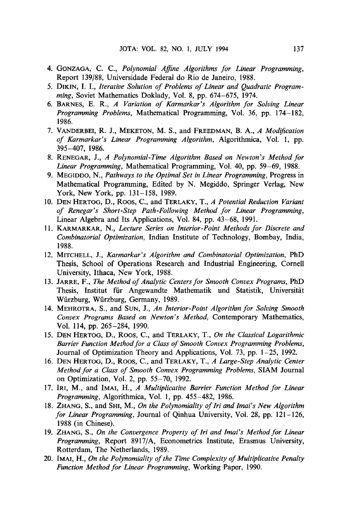- 4. GONZAGA, C. C., *Polynomial Affine Algorithms for Linear Programming,*  Report 139/88, Universidade Federal do Rio de Janeiro, 1988.
- 5. DIKIN, I. I., *lterative Solution of Problems of Linear and Quadratic Programming,* Soviet Mathematics Doklady, Vol. 8, pp. 674-675, 1974.
- 6. BARNES, *E. R., A Variation of Karmarkar's Algorithm for Solving Linear Programming Problems,* Mathematical Programming, Vol. 36, pp. 174-182, 1986.
- 7. VANDERBEI, R. J., MEKETON, M. S., and FREEDMAN, *B. A., A Modification of Karmarkar's Linear Programming Algorithm,* Algorithmica, Vol. 1, pp. 395-407, 1986.
- 8. RENEGAR, *J., A Polynomial-Time Algorithm Based on Newton's Method for Linear Programming,* Mathematical Programming, Voi. 40, pp. 59-69, 1988.
- 9. MEGIDDO, N., *Pathways to the Optimal Set in Linear Programming,* Progress in Mathematical Programming, Edited by N. Megiddo, Springer Verlag, New York, New York, pp. 131-158, 1989.
- 10. DEN HERTOG, D., ROOS, C., and TERLAKY, *T., A Potential Reduction Variant of Renegar's Short-Step Path-Following Method for Linear Programming,*  Linear Algebra and Its Applications, Vol. 84, pp. 43-68, 1991.
- 11. KARMARKAR, N., *Lecture Series on Interior-Point Methods for Discrete and Combinatorial Optimization,* Indian Institute of Technology, Bombay, India, 1988.
- 12. MITCHELL, J., *Karmarkar's Algorithm and Combinatorial Optimization,* PhD Thesis, School of Operations Research and Industrial Engineering, Cornell University, Ithaca, New York, 1988.
- 13. JARRE, F., *The Method of Analytic Centers for Smooth Convex Programs,* PhD Thesis, Institut für Angewandte Mathematik und Statistik, Universität Würzburg, Würzburg, Germany, 1989.
- 14. MEHROTRA, S., and SUN, J., *An Interior-Point Algorithm for Solving Smooth Convex Programs Based on Newton's Method,* Contemporary Mathematics, Vol. 114, pp. 265-284, 1990.
- 15. DEN HERTOG, D., ROOS, C., and TERLAKY, T., *On the Classical Logarithmic Barrier Function Method for a Class of Smooth Convex Programming Problems,*  Journal of Optimization Theory and Applications, Vol. 73, pp. 1-25, 1992.
- 16. DEN HERTOG, D., ROOS, C., and TERLAKY, *T., A Large-Step Analytic Center Method for a Class of Smooth Convex Programming Problems,* SIAM Journal on Optimization, Vol. 2, pp. 55-70, 1992.
- 17. IRI, M., and IMAI, *H., A Multiplicative Barrier Function Method for Linear Programming,* Algorithmica, Vol. 1, pp. 455-482, 1986.
- 18. ZHANG, S., and SHI, M., *On the Polynomiality of lri and Imai's New Algorithm for Linear Programming,* Journal of Qinhua University, Vol. 28, pp. 121-126, 1988 (in Chinese).
- 19. ZHANG, S., *On the Convergence Property of Iri and Imai's Method for Linear Programming,* Report 8917/A, Econometrics Institute, Erasmus University, Rotterdam, The Netherlands, 1989.
- 20. IMAI, H., *On the Polynomiality of the Time Complexity of Multiplicative Penalty Function Method for Linear Programming,* Working Paper, 1990.